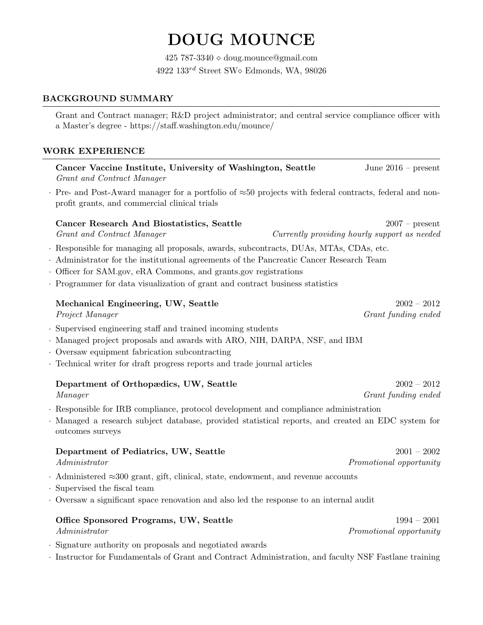# DOUG MOUNCE

425 787-3340  $\diamond$  doug.mounce@gmail.com 4922  $133^{rd}$  Street SW $\diamond$  Edmonds, WA, 98026

# BACKGROUND SUMMARY

Grant and Contract manager; R&D project administrator; and central service compliance officer with a Master's degree - https://staff.washington.edu/mounce/

## WORK EXPERIENCE

Cancer Vaccine Institute, University of Washington, Seattle June 2016 – present Grant and Contract Manager

· Pre- and Post-Award manager for a portfolio of ≈50 projects with federal contracts, federal and nonprofit grants, and commercial clinical trials

## Cancer Research And Biostatistics, Seattle 2007 – present

Grant and Contract Manager Currently providing hourly support as needed

- · Responsible for managing all proposals, awards, subcontracts, DUAs, MTAs, CDAs, etc.
- · Administrator for the institutional agreements of the Pancreatic Cancer Research Team
- · Officer for SAM.gov, eRA Commons, and grants.gov registrations
- · Programmer for data visualization of grant and contract business statistics

## Mechanical Engineering, UW, Seattle 2002 – 2012

- · Supervised engineering staff and trained incoming students
- · Managed project proposals and awards with ARO, NIH, DARPA, NSF, and IBM
- · Oversaw equipment fabrication subcontracting
- · Technical writer for draft progress reports and trade journal articles

| Department of Orthopædics, UW, Seattle | $2002 - 2012$       |
|----------------------------------------|---------------------|
| Manager                                | Grant funding ended |

- · Responsible for IRB compliance, protocol development and compliance administration
- · Managed a research subject database, provided statistical reports, and created an EDC system for outcomes surveys

#### Department of Pediatrics, UW, Seattle 2001 – 2002

Administrator Promotional opportunity

- · Administered ≈300 grant, gift, clinical, state, endowment, and revenue accounts
- · Supervised the fiscal team
- · Oversaw a significant space renovation and also led the response to an internal audit

# Office Sponsored Programs, UW, Seattle 1994 – 2001

Administrator Promotional opportunity

- · Signature authority on proposals and negotiated awards
- · Instructor for Fundamentals of Grant and Contract Administration, and faculty NSF Fastlane training

Project Manager Grant funding ended